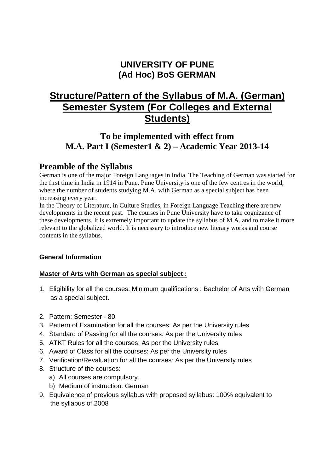# **UNIVERSITY OF PUNE (Ad Hoc) BoS GERMAN**

# **Structure/Pattern of the Syllabus of M.A. (German) Semester System (For Colleges and External Students)**

## **To be implemented with effect from M.A. Part I (Semester1 & 2) – Academic Year 2013-14**

## **Preamble of the Syllabus**

German is one of the major Foreign Languages in India. The Teaching of German was started for the first time in India in 1914 in Pune. Pune University is one of the few centres in the world, where the number of students studying M.A. with German as a special subject has been increasing every year.

In the Theory of Literature, in Culture Studies, in Foreign Language Teaching there are new developments in the recent past. The courses in Pune University have to take cognizance of these developments. It is extremely important to update the syllabus of M.A. and to make it more relevant to the globalized world. It is necessary to introduce new literary works and course contents in the syllabus.

## **General Information**

## **Master of Arts with German as special subject :**

- 1. Eligibility for all the courses: Minimum qualifications : Bachelor of Arts with German as a special subject.
- 2. Pattern: Semester 80
- 3. Pattern of Examination for all the courses: As per the University rules
- 4. Standard of Passing for all the courses: As per the University rules
- 5. ATKT Rules for all the courses: As per the University rules
- 6. Award of Class for all the courses: As per the University rules
- 7. Verification/Revaluation for all the courses: As per the University rules
- 8. Structure of the courses:
	- a) All courses are compulsory.
	- b) Medium of instruction: German
- 9. Equivalence of previous syllabus with proposed syllabus: 100% equivalent to the syllabus of 2008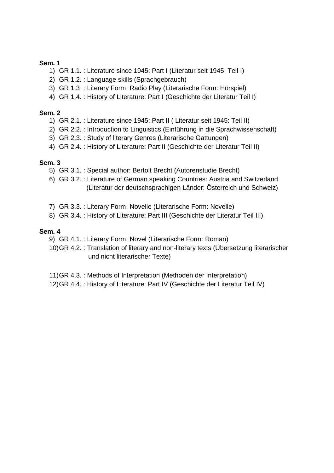### **Sem. 1**

- 1) GR 1.1. : Literature since 1945: Part I (Literatur seit 1945: Teil I)
- 2) GR 1.2. : Language skills (Sprachgebrauch)
- 3) GR 1.3 : Literary Form: Radio Play (Literarische Form: Hörspiel)
- 4) GR 1.4. : History of Literature: Part I (Geschichte der Literatur Teil I)

### **Sem. 2**

- 1) GR 2.1. : Literature since 1945: Part II ( Literatur seit 1945: Teil II)
- 2) GR 2.2. : Introduction to Linguistics (Einführung in die Sprachwissenschaft)
- 3) GR 2.3. : Study of literary Genres (Literarische Gattungen)
- 4) GR 2.4. : History of Literature: Part II (Geschichte der Literatur Teil II)

### **Sem. 3**

- 5) GR 3.1. : Special author: Bertolt Brecht (Autorenstudie Brecht)
- 6) GR 3.2. : Literature of German speaking Countries: Austria and Switzerland (Literatur der deutschsprachigen Länder: Österreich und Schweiz)
- 7) GR 3.3. : Literary Form: Novelle (Literarische Form: Novelle)
- 8) GR 3.4. : History of Literature: Part III (Geschichte der Literatur Teil III)

### **Sem. 4**

- 9) GR 4.1. : Literary Form: Novel (Literarische Form: Roman)
- 10) GR 4.2. : Translation of literary and non-literary texts (Übersetzung literarischer und nicht literarischer Texte)
- 11) GR 4.3. : Methods of Interpretation (Methoden der Interpretation)
- 12) GR 4.4. : History of Literature: Part IV (Geschichte der Literatur Teil IV)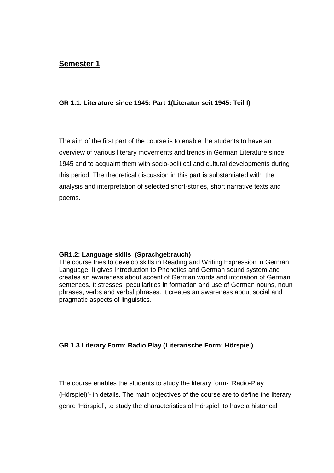## **GR 1.1. Literature since 1945: Part 1(Literatur seit 1945: Teil I)**

The aim of the first part of the course is to enable the students to have an overview of various literary movements and trends in German Literature since 1945 and to acquaint them with socio-political and cultural developments during this period. The theoretical discussion in this part is substantiated with the analysis and interpretation of selected short-stories, short narrative texts and poems.

### **GR1.2: Language skills (Sprachgebrauch)**

The course tries to develop skills in Reading and Writing Expression in German Language. It gives Introduction to Phonetics and German sound system and creates an awareness about accent of German words and intonation of German sentences. It stresses peculiarities in formation and use of German nouns, noun phrases, verbs and verbal phrases. It creates an awareness about social and pragmatic aspects of linguistics.

### **GR 1.3 Literary Form: Radio Play (Literarische Form: Hörspiel)**

The course enables the students to study the literary form- 'Radio-Play (Hörspiel)'- in details. The main objectives of the course are to define the literary genre 'Hörspiel', to study the characteristics of Hörspiel, to have a historical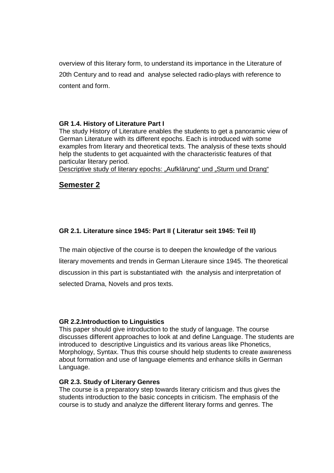overview of this literary form, to understand its importance in the Literature of 20th Century and to read and analyse selected radio-plays with reference to content and form.

### **GR 1.4. History of Literature Part I**

The study History of Literature enables the students to get a panoramic view of German Literature with its different epochs. Each is introduced with some examples from literary and theoretical texts. The analysis of these texts should help the students to get acquainted with the characteristic features of that particular literary period.

Descriptive study of literary epochs: "Aufklärung" und "Sturm und Drang"

## **Semester 2**

## **GR 2.1. Literature since 1945: Part II ( Literatur seit 1945: Teil II)**

The main objective of the course is to deepen the knowledge of the various literary movements and trends in German Literaure since 1945. The theoretical discussion in this part is substantiated with the analysis and interpretation of selected Drama, Novels and pros texts.

### **GR 2.2.Introduction to Linguistics**

This paper should give introduction to the study of language. The course discusses different approaches to look at and define Language. The students are introduced to descriptive Linguistics and its various areas like Phonetics, Morphology, Syntax. Thus this course should help students to create awareness about formation and use of language elements and enhance skills in German Language.

### **GR 2.3. Study of Literary Genres**

The course is a preparatory step towards literary criticism and thus gives the students introduction to the basic concepts in criticism. The emphasis of the course is to study and analyze the different literary forms and genres. The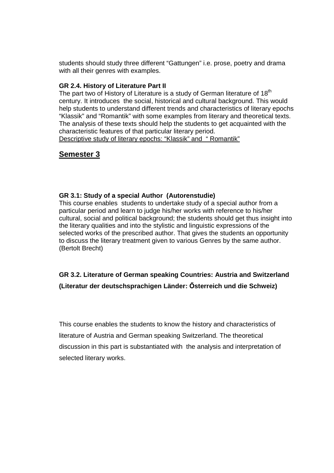students should study three different "Gattungen" i.e. prose, poetry and drama with all their genres with examples.

## **GR 2.4. History of Literature Part II**

The part two of History of Literature is a study of German literature of  $18<sup>th</sup>$ century. It introduces the social, historical and cultural background. This would help students to understand different trends and characteristics of literary epochs "Klassik" and "Romantik" with some examples from literary and theoretical texts. The analysis of these texts should help the students to get acquainted with the characteristic features of that particular literary period. Descriptive study of literary epochs: "Klassik" and " Romantik"

# **Semester 3**

### **GR 3.1: Study of a special Author (Autorenstudie)**

This course enables students to undertake study of a special author from a particular period and learn to judge his/her works with reference to his/her cultural, social and political background; the students should get thus insight into the literary qualities and into the stylistic and linguistic expressions of the selected works of the prescribed author. That gives the students an opportunity to discuss the literary treatment given to various Genres by the same author. (Bertolt Brecht)

**GR 3.2. Literature of German speaking Countries: Austria and Switzerland (Literatur der deutschsprachigen Länder: İsterreich und die Schweiz)** 

This course enables the students to know the history and characteristics of literature of Austria and German speaking Switzerland. The theoretical discussion in this part is substantiated with the analysis and interpretation of selected literary works.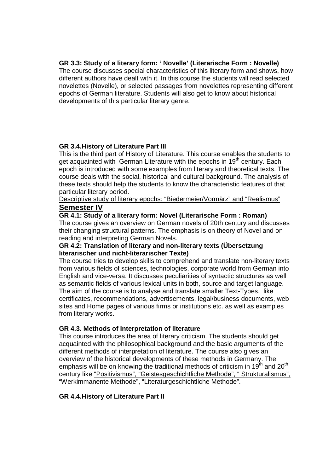## **GR 3.3: Study of a literary form: ' Novelle' (Literarische Form : Novelle)**

The course discusses special characteristics of this literary form and shows, how different authors have dealt with it. In this course the students will read selected novelettes (Novelle), or selected passages from novelettes representing different epochs of German literature. Students will also get to know about historical developments of this particular literary genre.

## **GR 3.4.History of Literature Part III**

This is the third part of History of Literature. This course enables the students to get acquainted with German Literature with the epochs in 19<sup>th</sup> century. Each epoch is introduced with some examples from literary and theoretical texts. The course deals with the social, historical and cultural background. The analysis of these texts should help the students to know the characteristic features of that particular literary period.

## Descriptive study of literary epochs: "Biedermeier/Vormärz" and "Realismus" **Semester IV**

### **GR 4.1: Study of a literary form: Novel (Literarische Form : Roman)**

The course gives an overview on German novels of 20th century and discusses their changing structural patterns. The emphasis is on theory of Novel and on reading and interpreting German Novels.

### **GR 4.2: Translation of literary and non-literary texts (Übersetzung literarischer und nicht-literarischer Texte)**

The course tries to develop skills to comprehend and translate non-literary texts from various fields of sciences, technologies, corporate world from German into English and vice-versa. It discusses peculiarities of syntactic structures as well as semantic fields of various lexical units in both, source and target language. The aim of the course is to analyse and translate smaller Text-Types, like certificates, recommendations, advertisements, legal/business documents, web sites and Home pages of various firms or institutions etc. as well as examples from literary works.

## **GR 4.3. Methods of Interpretation of literature**

This course introduces the area of literary criticism. The students should get acquainted with the philosophical background and the basic arguments of the different methods of interpretation of literature. The course also gives an overview of the historical developments of these methods in Germany. The emphasis will be on knowing the traditional methods of criticism in  $19^{th}$  and  $20^{th}$ century like "Positivismus", "Geistesgeschichtliche Methode", " Strukturalismus", "Werkimmanente Methode", "Literaturgeschichtliche Methode".

## **GR 4.4.History of Literature Part II**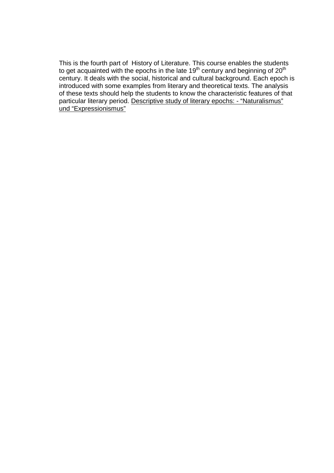This is the fourth part of History of Literature. This course enables the students to get acquainted with the epochs in the late 19<sup>th</sup> century and beginning of 20<sup>th</sup> century. It deals with the social, historical and cultural background. Each epoch is introduced with some examples from literary and theoretical texts. The analysis of these texts should help the students to know the characteristic features of that particular literary period. Descriptive study of literary epochs: - "Naturalismus" und "Expressionismus"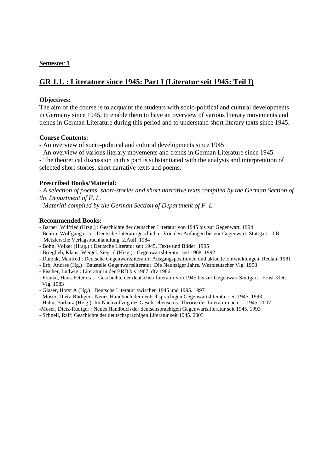## **GR 1.1. : Literature since 1945: Part I (Literatur seit 1945: Teil I)**

### **Objectives:**

The aim of the course is to acquaint the students with socio-political and cultural developments in Germany since 1945, to enable them to have an overview of various literary movements and trends in German Literature during this period and to understand short literary texts since 1945.

### **Course Contents:**

- An overview of socio-political and cultural developments since 1945

- An overview of various literary movements and trends in German Literature since 1945

- The theoretical discussion in this part is substantiated with the analysis and interpretation of selected short-stories, short narrative texts and poems.

### **Prescribed Books/Material:**

*- A selection of poems, short-stories and short narrative texts compiled by the German Section of the Department of F. L.* 

*- Material compiled by the German Section of Department of F. L.* 

### **Recommended Books:**

- Barner, Wilfried (Hrsg.) : Geschichte der deutschen Literatur von 1945 bis zur Gegenwart. 1994

- Beutin, Wolfgang u. a. : Deutsche Literaturgeschichte. Von den Anfängen bis zur Gegenwart. Stuttgart : J.B. Metzlersche Verlagsbuchhandlung. 2.Aufl. 1984

- Bohn, Volker (Hrsg.) : Deutsche Literatur seit 1945. Texte und Bilder. 1995
- Brieglieb, Klaus; Weigel, Siegrid (Hrsg.) : Gegenwartsliteratur seit 1968. 1992
- Durzak, Manfred : Deutsche Gegenwartsliteratur. Ausgangspositionen und aktuelle Entwicklungen. Reclam 1981
- Erb, Andres (Hg.) : Baustelle Gegenwartsliteratur. Die Neunziger Jahre. Westdeutscher Vlg. 1998
- Fischer, Ludwig : Literatur in der BRD bis 1967. dtv 1986
- Franke, Hans-Peter u.a. : Geschichte der deutschen Literatur von 1945 bis zur Gegenwart Stuttgart : Ernst Klett Vlg. 1983
- Glaser, Horst A (Hg.) : Deutsche Literatur zwischen 1945 und 1995. 1997
- Moser, Dietz-Rüdiger : Neues Handbuch der deutschsprachigen Gegenwartsliteratur seit 1945. 1993
- Hahn, Barbara (Hrsg.): Im Nachvollzug des Geschriebenseins: Theorie der Literatur nach 1945. 2007
- -Moser, Dietz-Rüdiger : Neues Handbuch der deutschsprachigen Gegenwartsliteratur seit 1945. 1993
- Schnell, Ralf: Geschichte der deutschsprachigen Literatur seit 1945. 2003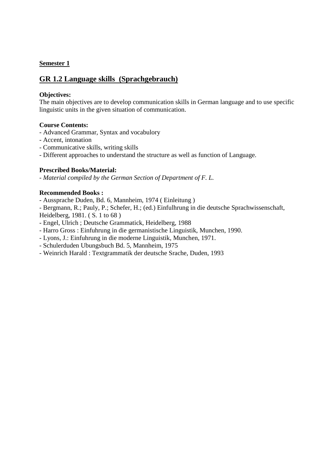## **GR 1.2 Language skills (Sprachgebrauch)**

### **Objectives:**

The main objectives are to develop communication skills in German language and to use specific linguistic units in the given situation of communication.

### **Course Contents:**

- Advanced Grammar, Syntax and vocabulory
- Accent, intonation
- Communicative skills, writing skills
- Different approaches to understand the structure as well as function of Language.

### **Prescribed Books/Material:**

*- Material compiled by the German Section of Department of F. L.* 

### **Recommended Books :**

- Aussprache Duden, Bd. 6, Mannheim, 1974 ( Einleitung )

- Bergmann, R.; Pauly, P.; Schefer, H.; (ed.) Einfulhrung in die deutsche Sprachwissenschaft, Heidelberg, 1981. ( S. 1 to 68 )

- Engel, Ulrich ; Deutsche Grammatick, Heidelberg, 1988
- Harro Gross : Einfuhrung in die germanistische Linguistik, Munchen, 1990.
- Lyons, J.: Einfuhrung in die moderne Linguistik, Munchen, 1971.
- Schulerduden Ubungsbuch Bd. 5, Mannheim, 1975
- Weinrich Harald : Textgrammatik der deutsche Srache, Duden, 1993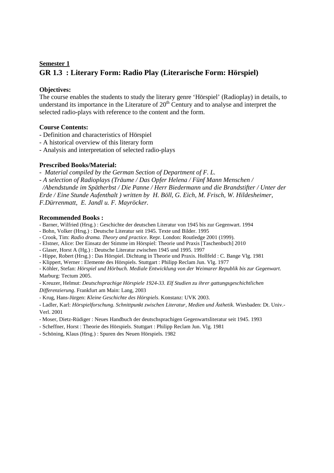## **Semester 1 GR 1.3 : Literary Form: Radio Play (Literarische Form: Hörspiel)**

### **Objectives:**

The course enables the students to study the literary genre 'Hörspiel' (Radioplay) in details, to understand its importance in the Literature of  $20<sup>th</sup>$  Century and to analyse and interpret the selected radio-plays with reference to the content and the form.

### **Course Contents:**

- Definition and characteristics of Hörspiel
- A historical overview of this literary form
- Analysis and interpretation of selected radio-plays

### **Prescribed Books/Material:**

*- Material compiled by the German Section of Department of F. L.* 

*- A selection of Radioplays (Träume / Das Opfer Helena / Fünf Mann Menschen /* 

 */Abendstunde im Spätherbst / Die Panne / Herr Biedermann und die Brandstifter / Unter der Erde / Eine Stunde Aufenthalt ) written by H. Böll, G. Eich, M. Frisch, W. Hildesheimer, F.Dürrenmatt, E. Jandl u. F. Mayröcker.* 

#### **Recommended Books :**

- Barner, Wilfried (Hrsg.) : Geschichte der deutschen Literatur von 1945 bis zur Gegenwart. 1994

- Bohn, Volker (Hrsg.) : Deutsche Literatur seit 1945. Texte und Bilder. 1995

- Crook, Tim: *Radio drama. Theory and practice*. Repr. London: Routledge 2001 (1999).

- Elstner, Alice: Der Einsatz der Stimme im Hörspiel: Theorie und Praxis [Taschenbuch] 2010
- Glaser, Horst A (Hg.) : Deutsche Literatur zwischen 1945 und 1995. 1997
- Hippe, Robert (Hrsg.) : Das Hörspiel. Dichtung in Theorie und Praxis. Hollfeld : C. Bange Vlg. 1981

- Klippert, Werner : Elemente des Hörspiels. Stuttgart : Philipp Reclam Jun. Vlg. 1977

- Köhler, Stefan: *Hörspiel und Hörbuch. Mediale Entwicklung von der Weimarer Republik bis zur Gegenwart*.

Marburg: Tectum 2005.

- Kreuzer, Helmut: *Deutschsprachige Hörspiele 1924-33. Elf Studien zu ihrer gattungsgeschichtlichen Differenzierung*. Frankfurt am Main: Lang, 2003

- Krug, Hans-Jürgen: *Kleine Geschichte des Hörspiels*. Konstanz: UVK 2003.

- Ladler, Karl: *Hörspielforschung. Schnittpunkt zwischen Literatur, Medien und Ästhetik*. Wiesbaden: Dt. Univ.- Verl. 2001

- Moser, Dietz-Rüdiger : Neues Handbuch der deutschsprachigen Gegenwartsliteratur seit 1945. 1993
- Scheffner, Horst : Theorie des Hörspiels. Stuttgart : Philipp Reclam Jun. Vlg. 1981

- Schöning, Klaus (Hrsg.) : Spuren des Neuen Hörspiels. 1982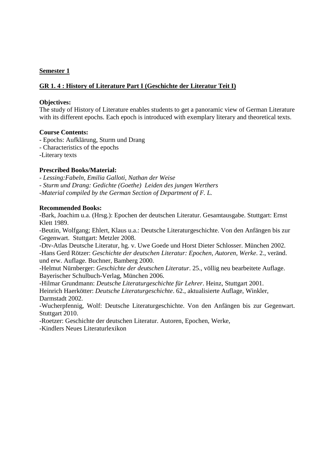## **GR 1. 4 : History of Literature Part I (Geschichte der Literatur Teit I)**

#### **Objectives:**

The study of History of Literature enables students to get a panoramic view of German Literature with its different epochs. Each epoch is introduced with exemplary literary and theoretical texts.

### **Course Contents:**

- Epochs: Aufklärung, Sturm und Drang
- Characteristics of the epochs
- -Literary texts

### **Prescribed Books/Material:**

*- Lessing:Fabeln, Emilia Galloti, Nathan der Weise* 

- *Sturm und Drang: Gedichte (Goethe) Leiden des jungen Werthers*
- *-Material compiled by the German Section of Department of F. L.*

#### **Recommended Books:**

-Bark, Joachim u.a. (Hrsg.): Epochen der deutschen Literatur. Gesamtausgabe. Stuttgart: Ernst Klett 1989.

-Beutin, Wolfgang; Ehlert, Klaus u.a.: Deutsche Literaturgeschichte. Von den Anfängen bis zur Gegenwart. Stuttgart: Metzler 2008.

-Dtv-Atlas Deutsche Literatur, hg. v. Uwe Goede und Horst Dieter Schlosser. München 2002. -Hans Gerd Rötzer: *Geschichte der deutschen Literatur: Epochen, Autoren, Werke*. 2., veränd. und erw. Auflage. Buchner, Bamberg 2000.

-Helmut Nürnberger: *Geschichte der deutschen Literatur*. 25., völlig neu bearbeitete Auflage. Bayerischer Schulbuch-Verlag, München 2006.

-Hilmar Grundmann: *Deutsche Literaturgeschichte für Lehrer*. Heinz, Stuttgart 2001. Heinrich Haerkötter: *Deutsche Literaturgeschichte*. 62., aktualisierte Auflage, Winkler, Darmstadt 2002.

-Wucherpfennig, Wolf: Deutsche Literaturgeschichte. Von den Anfängen bis zur Gegenwart. Stuttgart 2010.

-Roetzer: Geschichte der deutschen Literatur. Autoren, Epochen, Werke,

-Kindlers Neues Literaturlexikon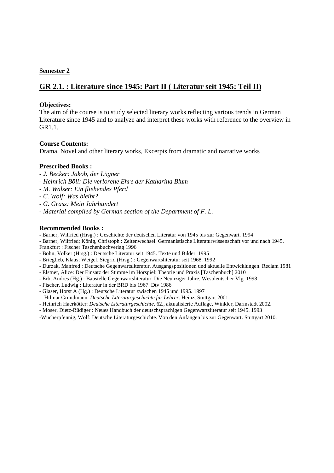## **GR 2.1. : Literature since 1945: Part II ( Literatur seit 1945: Teil II)**

### **Objectives:**

The aim of the course is to study selected literary works reflecting various trends in German Literature since 1945 and to analyze and interpret these works with reference to the overview in GR<sub>1</sub>1

### **Course Contents:**

Drama, Novel and other literary works, Excerpts from dramatic and narrative works

### **Prescribed Books :**

- *J. Becker: Jakob, der Lügner*
- *Heinrich Böll: Die verlorene Ehre der Katharina Blum*
- *M. Walser: Ein fliehendes Pferd*
- *C. Wolf: Was bleibt?*
- *G. Grass: Mein Jahrhundert*
- *Material compiled by German section of the Department of F. L.*

#### **Recommended Books :**

- Barner, Wilfried (Hrsg.) : Geschichte der deutschen Literatur von 1945 bis zur Gegenwart. 1994

- Barner, Wilfried; König, Christoph : Zeitenwechsel. Germanistische Literaturwissenschaft vor und nach 1945.

Frankfurt : Fischer Taschenbuchverlag 1996

- Bohn, Volker (Hrsg.) : Deutsche Literatur seit 1945. Texte und Bilder. 1995
- Brieglieb, Klaus; Weigel, Siegrid (Hrsg.) : Gegenwartsliteratur seit 1968. 1992
- Durzak, Manfred : Deutsche Gegenwartsliteratur. Ausgangspositionen und aktuelle Entwicklungen. Reclam 1981
- Elstner, Alice: Der Einsatz der Stimme im Hörspiel: Theorie und Praxis [Taschenbuch] 2010
- Erb, Andres (Hg.) : Baustelle Gegenwartsliteratur. Die Neunziger Jahre. Westdeutscher Vlg. 1998
- Fischer, Ludwig : Literatur in der BRD bis 1967. Dtv 1986
- Glaser, Horst A (Hg.) : Deutsche Literatur zwischen 1945 und 1995. 1997
- -Hilmar Grundmann: *Deutsche Literaturgeschichte für Lehrer*. Heinz, Stuttgart 2001.
- Heinrich Haerkötter: *Deutsche Literaturgeschichte*. 62., aktualisierte Auflage, Winkler, Darmstadt 2002.
- Moser, Dietz-Rüdiger : Neues Handbuch der deutschsprachigen Gegenwartsliteratur seit 1945. 1993
- -Wucherpfennig, Wolf: Deutsche Literaturgeschichte. Von den Anfängen bis zur Gegenwart. Stuttgart 2010.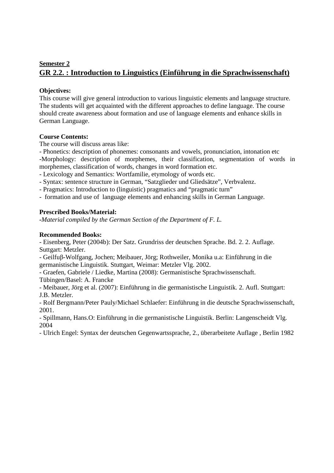## **Semester 2 GR 2.2. : Introduction to Linguistics (Einführung in die Sprachwissenschaft)**

## **Objectives:**

This course will give general introduction to various linguistic elements and language structure. The students will get acquainted with the different approaches to define language. The course should create awareness about formation and use of language elements and enhance skills in German Language.

### **Course Contents:**

The course will discuss areas like:

- Phonetics: description of phonemes: consonants and vowels, pronunciation, intonation etc -Morphology: description of morphemes, their classification, segmentation of words in morphemes, classification of words, changes in word formation etc.

- Lexicology and Semantics: Wortfamilie, etymology of words etc.

- Syntax: sentence structure in German, "Satzglieder und Gliedsätze", Verbvalenz.

- Pragmatics: Introduction to (linguistic) pragmatics and "pragmatic turn"

- formation and use of language elements and enhancing skills in German Language.

### **Prescribed Books/Material:**

*-Material compiled by the German Section of the Department of F. L.* 

### **Recommended Books:**

- Eisenberg, Peter (2004b): Der Satz. Grundriss der deutschen Sprache. Bd. 2. 2. Auflage. Suttgart: Metzler.

- Geilfuβ-Wolfgang, Jochen; Meibauer, Jörg; Rothweiler, Monika u.a: Einführung in die germanistische Linguistik. Stuttgart, Weimar: Metzler Vlg. 2002.

- Graefen, Gabriele / Liedke, Martina (2008): Germanistische Sprachwissenschaft.

Tübingen/Basel: A. Francke

- Meibauer, Jörg et al. (2007): Einführung in die germanistische Linguistik. 2. Aufl. Stuttgart: J.B. Metzler.

- Rolf Bergmann/Peter Pauly/Michael Schlaefer: Einführung in die deutsche Sprachwissenschaft, 2001.

- Spillmann, Hans.O: Einführung in die germanistische Linguistik. Berlin: Langenscheidt Vlg. 2004

- Ulrich Engel: Syntax der deutschen Gegenwartssprache, 2., überarbeitete Auflage , Berlin 1982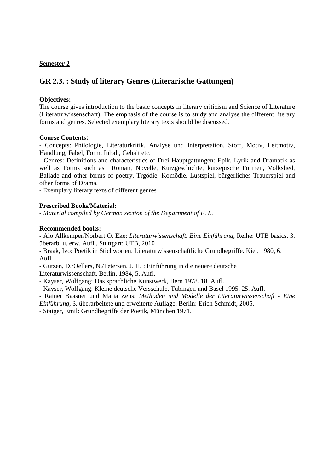## **GR 2.3. : Study of literary Genres (Literarische Gattungen)**

### **Objectives:**

The course gives introduction to the basic concepts in literary criticism and Science of Literature (Literaturwissenschaft). The emphasis of the course is to study and analyse the different literary forms and genres. Selected exemplary literary texts should be discussed.

#### **Course Contents:**

- Concepts: Philologie, Literaturkritik, Analyse und Interpretation, Stoff, Motiv, Leitmotiv, Handlung, Fabel, Form, Inhalt, Gehalt etc.

- Genres: Definitions and characteristics of Drei Hauptgattungen: Epik, Lyrik and Dramatik as well as Forms such as Roman, Novelle, Kurzgeschichte, kurzepische Formen, Volkslied, Ballade and other forms of poetry, Trgödie, Komödie, Lustspiel, bürgerliches Trauerspiel and other forms of Drama.

- Exemplary literary texts of different genres

### **Prescribed Books/Material:**

*- Material compiled by German section of the Department of F. L.* 

### **Recommended books:**

- Alo Allkemper/Norbert O. Eke: *Literaturwissenschaft. Eine Einführung*, Reihe: UTB basics. 3. überarb. u. erw. Aufl., Stuttgart: UTB, 2010

- Braak, Ivo: Poetik in Stichworten. Literaturwissenschaftliche Grundbegriffe. Kiel, 1980, 6. Aufl.

- Gutzen, D./Oellers, N./Petersen, J. H. : Einführung in die neuere deutsche

Literaturwissenschaft. Berlin, 1984, 5. Aufl.

- Kayser, Wolfgang: Das sprachliche Kunstwerk, Bern 1978. 18. Aufl.

- Kayser, Wolfgang: Kleine deutsche Versschule, Tübingen und Basel 1995, 25. Aufl.

- Rainer Baasner und Maria Zens: *Methoden und Modelle der Literaturwissenschaft - Eine Einführung*, 3. überarbeitete und erweiterte Auflage, Berlin: Erich Schmidt, 2005.

- Staiger, Emil: Grundbegriffe der Poetik, München 1971.